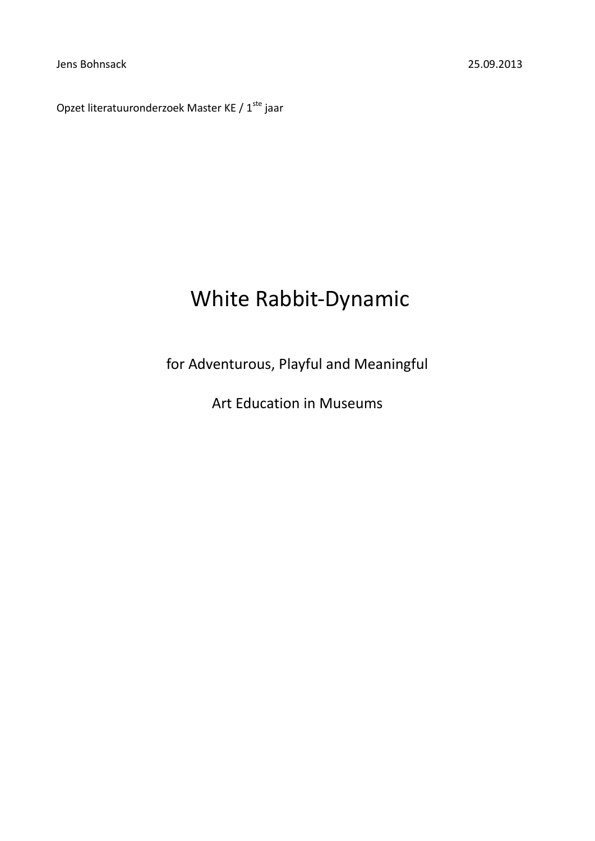Jens Bohnsack 25.09.2013

Opzet literatuuronderzoek Master KE /  $1^{\text{ste}}$  jaar

# White Rabbit-Dynamic

for Adventurous, Playful and Meaningful

Art Education in Museums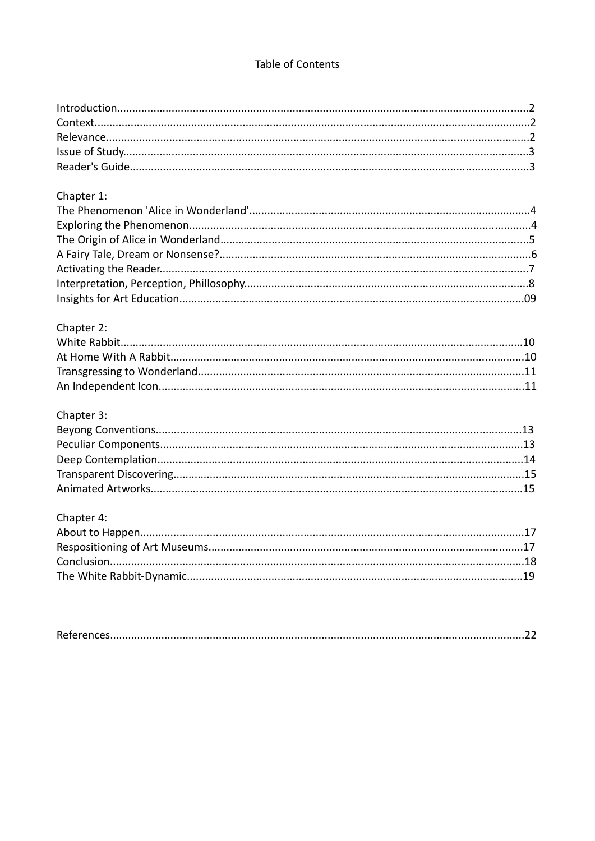## Table of Contents

# Chapter 1:

# Chapter 2:

# Chapter 3:

# Chapter 4: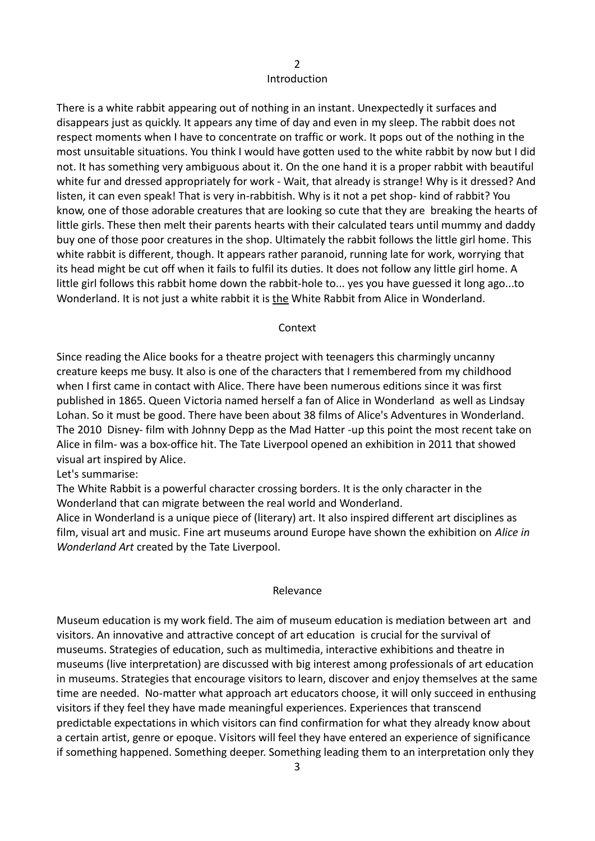#### $\overline{\phantom{0}}$ Introduction

There is a white rabbit appearing out of nothing in an instant. Unexpectedly it surfaces and disappears just as quickly. It appears any time of day and even in my sleep. The rabbit does not respect moments when I have to concentrate on traffic or work. It pops out of the nothing in the most unsuitable situations. You think I would have gotten used to the white rabbit by now but I did not. It has something very ambiguous about it. On the one hand it is a proper rabbit with beautiful white fur and dressed appropriately for work - Wait, that already is strange! Why is it dressed? And listen, it can even speak! That is very in-rabbitish. Why is it not a pet shop- kind of rabbit? You know, one of those adorable creatures that are looking so cute that they are breaking the hearts of little girls. These then melt their parents hearts with their calculated tears until mummy and daddy buy one of those poor creatures in the shop. Ultimately the rabbit follows the little girl home. This white rabbit is different, though. It appears rather paranoid, running late for work, worrying that its head might be cut off when it fails to fulfil its duties. It does not follow any little girl home. A little girl follows this rabbit home down the rabbit-hole to... yes you have guessed it long ago...to Wonderland. It is not just a white rabbit it is the White Rabbit from Alice in Wonderland.

#### Context

Since reading the Alice books for a theatre project with teenagers this charmingly uncanny creature keeps me busy. It also is one of the characters that I remembered from my childhood when I first came in contact with Alice. There have been numerous editions since it was first published in 1865. Queen Victoria named herself a fan of Alice in Wonderland as well as Lindsay Lohan. So it must be good. There have been about 38 films of Alice's Adventures in Wonderland. The 2010 Disney- film with Johnny Depp as the Mad Hatter -up this point the most recent take on Alice in film- was a box-office hit. The Tate Liverpool opened an exhibition in 2011 that showed visual art inspired by Alice.

Let's summarise:

The White Rabbit is a powerful character crossing borders. It is the only character in the Wonderland that can migrate between the real world and Wonderland.

Alice in Wonderland is a unique piece of (literary) art. It also inspired different art disciplines as film, visual art and music. Fine art museums around Europe have shown the exhibition on *Alice in Wonderland Art* created by the Tate Liverpool.

#### Relevance

Museum education is my work field. The aim of museum education is mediation between art and visitors. An innovative and attractive concept of art education is crucial for the survival of museums. Strategies of education, such as multimedia, interactive exhibitions and theatre in museums (live interpretation) are discussed with big interest among professionals of art education in museums. Strategies that encourage visitors to learn, discover and enjoy themselves at the same time are needed. No-matter what approach art educators choose, it will only succeed in enthusing visitors if they feel they have made meaningful experiences. Experiences that transcend predictable expectations in which visitors can find confirmation for what they already know about a certain artist, genre or epoque. Visitors will feel they have entered an experience of significance if something happened. Something deeper. Something leading them to an interpretation only they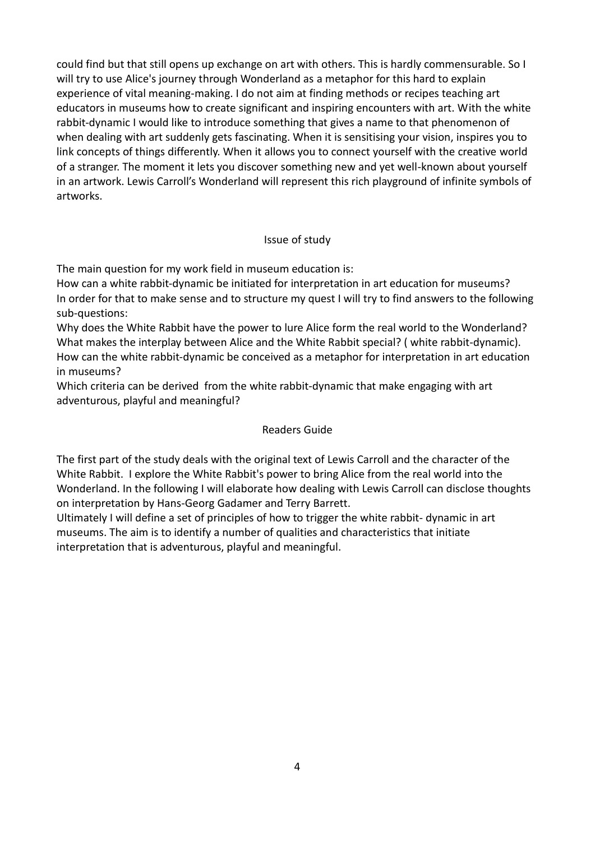could find but that still opens up exchange on art with others. This is hardly commensurable. So I will try to use Alice's journey through Wonderland as a metaphor for this hard to explain experience of vital meaning-making. I do not aim at finding methods or recipes teaching art educators in museums how to create significant and inspiring encounters with art. With the white rabbit-dynamic I would like to introduce something that gives a name to that phenomenon of when dealing with art suddenly gets fascinating. When it is sensitising your vision, inspires you to link concepts of things differently. When it allows you to connect yourself with the creative world of a stranger. The moment it lets you discover something new and yet well-known about yourself in an artwork. Lewis Carroll's Wonderland will represent this rich playground of infinite symbols of artworks.

## Issue of study

The main question for my work field in museum education is:

How can a white rabbit-dynamic be initiated for interpretation in art education for museums? In order for that to make sense and to structure my quest I will try to find answers to the following sub-questions:

Why does the White Rabbit have the power to lure Alice form the real world to the Wonderland? What makes the interplay between Alice and the White Rabbit special? ( white rabbit-dynamic). How can the white rabbit-dynamic be conceived as a metaphor for interpretation in art education in museums?

Which criteria can be derived from the white rabbit-dynamic that make engaging with art adventurous, playful and meaningful?

## Readers Guide

The first part of the study deals with the original text of Lewis Carroll and the character of the White Rabbit. I explore the White Rabbit's power to bring Alice from the real world into the Wonderland. In the following I will elaborate how dealing with Lewis Carroll can disclose thoughts on interpretation by Hans-Georg Gadamer and Terry Barrett.

Ultimately I will define a set of principles of how to trigger the white rabbit- dynamic in art museums. The aim is to identify a number of qualities and characteristics that initiate interpretation that is adventurous, playful and meaningful.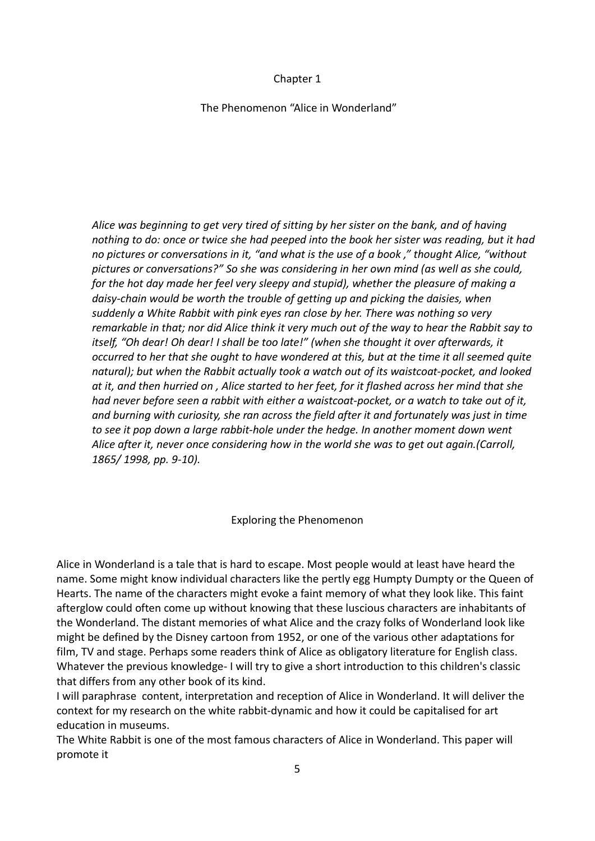## Chapter 1

## The Phenomenon "Alice in Wonderland"

*Alice was beginning to get very tired of sitting by her sister on the bank, and of having nothing to do: once or twice she had peeped into the book her sister was reading, but it had no pictures or conversations in it, "and what is the use of a book ," thought Alice, "without pictures or conversations?" So she was considering in her own mind (as well as she could, for the hot day made her feel very sleepy and stupid), whether the pleasure of making a daisy-chain would be worth the trouble of getting up and picking the daisies, when suddenly a White Rabbit with pink eyes ran close by her. There was nothing so very remarkable in that; nor did Alice think it very much out of the way to hear the Rabbit say to itself, "Oh dear! Oh dear! I shall be too late!" (when she thought it over afterwards, it occurred to her that she ought to have wondered at this, but at the time it all seemed quite natural); but when the Rabbit actually took a watch out of its waistcoat-pocket, and looked at it, and then hurried on , Alice started to her feet, for it flashed across her mind that she had never before seen a rabbit with either a waistcoat-pocket, or a watch to take out of it, and burning with curiosity, she ran across the field after it and fortunately was just in time to see it pop down a large rabbit-hole under the hedge. In another moment down went Alice after it, never once considering how in the world she was to get out again.(Carroll, 1865/ 1998, pp. 9-10).*

## Exploring the Phenomenon

Alice in Wonderland is a tale that is hard to escape. Most people would at least have heard the name. Some might know individual characters like the pertly egg Humpty Dumpty or the Queen of Hearts. The name of the characters might evoke a faint memory of what they look like. This faint afterglow could often come up without knowing that these luscious characters are inhabitants of the Wonderland. The distant memories of what Alice and the crazy folks of Wonderland look like might be defined by the Disney cartoon from 1952, or one of the various other adaptations for film, TV and stage. Perhaps some readers think of Alice as obligatory literature for English class. Whatever the previous knowledge- I will try to give a short introduction to this children's classic that differs from any other book of its kind.

I will paraphrase content, interpretation and reception of Alice in Wonderland. It will deliver the context for my research on the white rabbit-dynamic and how it could be capitalised for art education in museums.

The White Rabbit is one of the most famous characters of Alice in Wonderland. This paper will promote it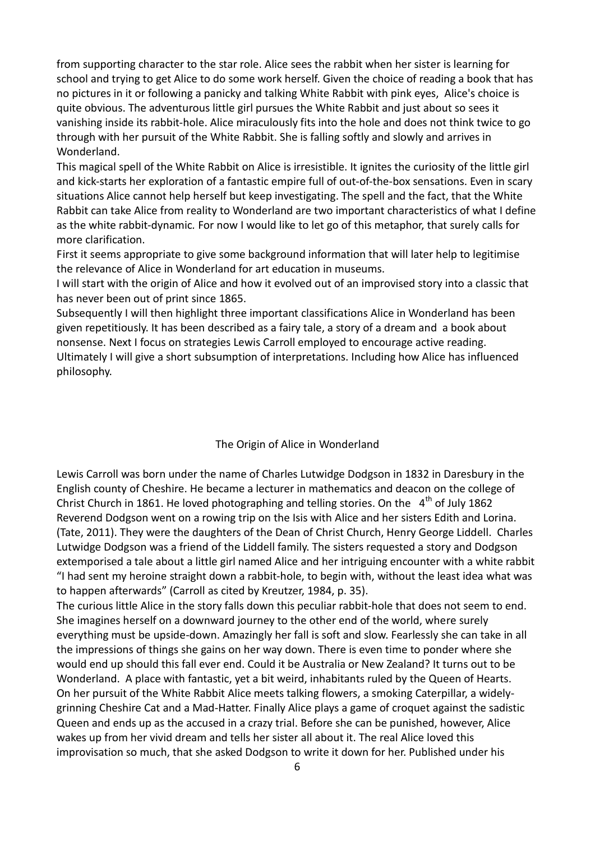from supporting character to the star role. Alice sees the rabbit when her sister is learning for school and trying to get Alice to do some work herself. Given the choice of reading a book that has no pictures in it or following a panicky and talking White Rabbit with pink eyes, Alice's choice is quite obvious. The adventurous little girl pursues the White Rabbit and just about so sees it vanishing inside its rabbit-hole. Alice miraculously fits into the hole and does not think twice to go through with her pursuit of the White Rabbit. She is falling softly and slowly and arrives in Wonderland.

This magical spell of the White Rabbit on Alice is irresistible. It ignites the curiosity of the little girl and kick-starts her exploration of a fantastic empire full of out-of-the-box sensations. Even in scary situations Alice cannot help herself but keep investigating. The spell and the fact, that the White Rabbit can take Alice from reality to Wonderland are two important characteristics of what I define as the white rabbit-dynamic*.* For now I would like to let go of this metaphor, that surely calls for more clarification.

First it seems appropriate to give some background information that will later help to legitimise the relevance of Alice in Wonderland for art education in museums.

I will start with the origin of Alice and how it evolved out of an improvised story into a classic that has never been out of print since 1865.

Subsequently I will then highlight three important classifications Alice in Wonderland has been given repetitiously. It has been described as a fairy tale, a story of a dream and a book about nonsense. Next I focus on strategies Lewis Carroll employed to encourage active reading.

Ultimately I will give a short subsumption of interpretations. Including how Alice has influenced philosophy.

#### The Origin of Alice in Wonderland

Lewis Carroll was born under the name of Charles Lutwidge Dodgson in 1832 in Daresbury in the English county of Cheshire. He became a lecturer in mathematics and deacon on the college of Christ Church in 1861. He loved photographing and telling stories. On the  $4<sup>th</sup>$  of July 1862 Reverend Dodgson went on a rowing trip on the Isis with Alice and her sisters Edith and Lorina. (Tate, 2011). They were the daughters of the Dean of Christ Church, Henry George Liddell. Charles Lutwidge Dodgson was a friend of the Liddell family. The sisters requested a story and Dodgson extemporised a tale about a little girl named Alice and her intriguing encounter with a white rabbit "I had sent my heroine straight down a rabbit-hole, to begin with, without the least idea what was to happen afterwards" (Carroll as cited by Kreutzer, 1984, p. 35).

The curious little Alice in the story falls down this peculiar rabbit-hole that does not seem to end. She imagines herself on a downward journey to the other end of the world, where surely everything must be upside-down. Amazingly her fall is soft and slow. Fearlessly she can take in all the impressions of things she gains on her way down. There is even time to ponder where she would end up should this fall ever end. Could it be Australia or New Zealand? It turns out to be Wonderland. A place with fantastic, yet a bit weird, inhabitants ruled by the Queen of Hearts. On her pursuit of the White Rabbit Alice meets talking flowers, a smoking Caterpillar, a widelygrinning Cheshire Cat and a Mad-Hatter. Finally Alice plays a game of croquet against the sadistic Queen and ends up as the accused in a crazy trial. Before she can be punished, however, Alice wakes up from her vivid dream and tells her sister all about it. The real Alice loved this improvisation so much, that she asked Dodgson to write it down for her. Published under his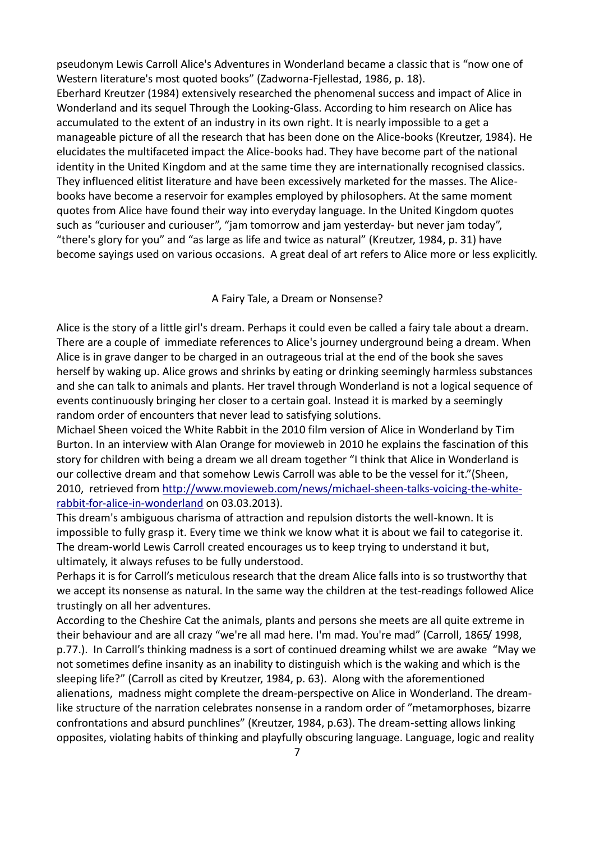pseudonym Lewis Carroll Alice's Adventures in Wonderland became a classic that is "now one of Western literature's most quoted books" (Zadworna-Fjellestad, 1986, p. 18). Eberhard Kreutzer (1984) extensively researched the phenomenal success and impact of Alice in Wonderland and its sequel Through the Looking-Glass. According to him research on Alice has accumulated to the extent of an industry in its own right. It is nearly impossible to a get a manageable picture of all the research that has been done on the Alice-books (Kreutzer, 1984). He elucidates the multifaceted impact the Alice-books had. They have become part of the national identity in the United Kingdom and at the same time they are internationally recognised classics. They influenced elitist literature and have been excessively marketed for the masses. The Alicebooks have become a reservoir for examples employed by philosophers. At the same moment quotes from Alice have found their way into everyday language. In the United Kingdom quotes such as "curiouser and curiouser", "jam tomorrow and jam yesterday- but never jam today", "there's glory for you" and "as large as life and twice as natural" (Kreutzer, 1984, p. 31) have become sayings used on various occasions. A great deal of art refers to Alice more or less explicitly.

#### A Fairy Tale, a Dream or Nonsense?

Alice is the story of a little girl's dream. Perhaps it could even be called a fairy tale about a dream. There are a couple of immediate references to Alice's journey underground being a dream. When Alice is in grave danger to be charged in an outrageous trial at the end of the book she saves herself by waking up. Alice grows and shrinks by eating or drinking seemingly harmless substances and she can talk to animals and plants. Her travel through Wonderland is not a logical sequence of events continuously bringing her closer to a certain goal. Instead it is marked by a seemingly random order of encounters that never lead to satisfying solutions.

Michael Sheen voiced the White Rabbit in the 2010 film version of Alice in Wonderland by Tim Burton. In an interview with Alan Orange for movieweb in 2010 he explains the fascination of this story for children with being a dream we all dream together "I think that Alice in Wonderland is our collective dream and that somehow Lewis Carroll was able to be the vessel for it."(Sheen, 2010, retrieved from [http://www.movieweb.com/news/michael-sheen-talks-voicing-the-white](http://www.movieweb.com/news/michael-sheen-talks-voicing-the-white-rabbit-for-alice-in-wonderland)[rabbit-for-alice-in-wonderland](http://www.movieweb.com/news/michael-sheen-talks-voicing-the-white-rabbit-for-alice-in-wonderland) on 03.03.2013).

This dream's ambiguous charisma of attraction and repulsion distorts the well-known. It is impossible to fully grasp it. Every time we think we know what it is about we fail to categorise it. The dream-world Lewis Carroll created encourages us to keep trying to understand it but, ultimately, it always refuses to be fully understood.

Perhaps it is for Carroll's meticulous research that the dream Alice falls into is so trustworthy that we accept its nonsense as natural. In the same way the children at the test-readings followed Alice trustingly on all her adventures.

According to the Cheshire Cat the animals, plants and persons she meets are all quite extreme in their behaviour and are all crazy "we're all mad here. I'm mad. You're mad" (Carroll, 1865/ 1998, p.77.). In Carroll's thinking madness is a sort of continued dreaming whilst we are awake "May we not sometimes define insanity as an inability to distinguish which is the waking and which is the sleeping life?" (Carroll as cited by Kreutzer, 1984, p. 63). Along with the aforementioned alienations, madness might complete the dream-perspective on Alice in Wonderland. The dreamlike structure of the narration celebrates nonsense in a random order of "metamorphoses, bizarre confrontations and absurd punchlines" (Kreutzer, 1984, p.63). The dream-setting allows linking opposites, violating habits of thinking and playfully obscuring language. Language, logic and reality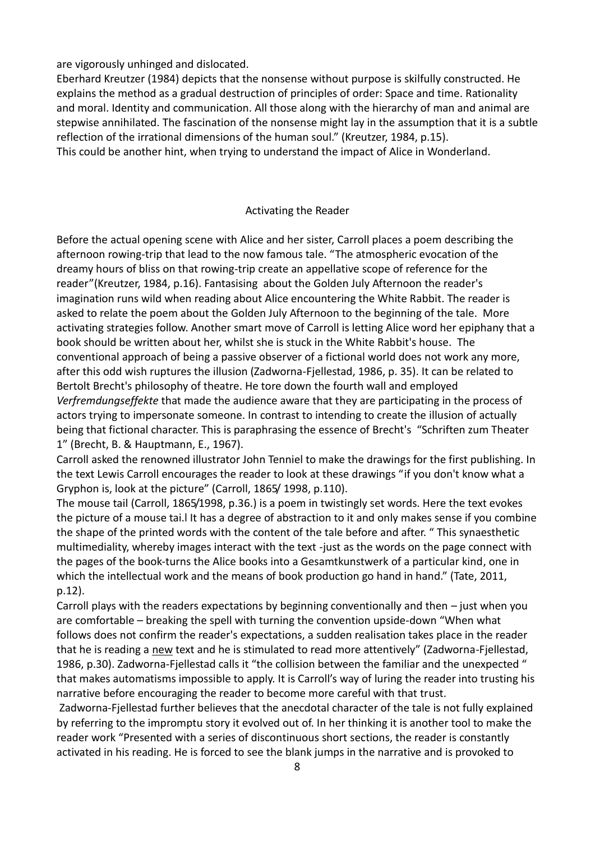are vigorously unhinged and dislocated.

Eberhard Kreutzer (1984) depicts that the nonsense without purpose is skilfully constructed. He explains the method as a gradual destruction of principles of order: Space and time. Rationality and moral. Identity and communication. All those along with the hierarchy of man and animal are stepwise annihilated. The fascination of the nonsense might lay in the assumption that it is a subtle reflection of the irrational dimensions of the human soul." (Kreutzer, 1984, p.15). This could be another hint, when trying to understand the impact of Alice in Wonderland.

## Activating the Reader

Before the actual opening scene with Alice and her sister, Carroll places a poem describing the afternoon rowing-trip that lead to the now famous tale. "The atmospheric evocation of the dreamy hours of bliss on that rowing-trip create an appellative scope of reference for the reader"(Kreutzer, 1984, p.16). Fantasising about the Golden July Afternoon the reader's imagination runs wild when reading about Alice encountering the White Rabbit. The reader is asked to relate the poem about the Golden July Afternoon to the beginning of the tale. More activating strategies follow. Another smart move of Carroll is letting Alice word her epiphany that a book should be written about her, whilst she is stuck in the White Rabbit's house. The conventional approach of being a passive observer of a fictional world does not work any more, after this odd wish ruptures the illusion (Zadworna-Fjellestad, 1986, p. 35). It can be related to Bertolt Brecht's philosophy of theatre. He tore down the fourth wall and employed *Verfremdungseffekte* that made the audience aware that they are participating in the process of actors trying to impersonate someone. In contrast to intending to create the illusion of actually being that fictional character. This is paraphrasing the essence of Brecht's "Schriften zum Theater 1" (Brecht, B. & Hauptmann, E., 1967).

Carroll asked the renowned illustrator John Tenniel to make the drawings for the first publishing. In the text Lewis Carroll encourages the reader to look at these drawings "if you don't know what a Gryphon is, look at the picture" (Carroll, 1865/ 1998, p.110).

The mouse tail (Carroll, 1865/1998, p.36.) is a poem in twistingly set words. Here the text evokes the picture of a mouse tai.l It has a degree of abstraction to it and only makes sense if you combine the shape of the printed words with the content of the tale before and after. " This synaesthetic multimediality, whereby images interact with the text -just as the words on the page connect with the pages of the book-turns the Alice books into a Gesamtkunstwerk of a particular kind, one in which the intellectual work and the means of book production go hand in hand." (Tate, 2011, p.12).

Carroll plays with the readers expectations by beginning conventionally and then – just when you are comfortable – breaking the spell with turning the convention upside-down "When what follows does not confirm the reader's expectations, a sudden realisation takes place in the reader that he is reading a new text and he is stimulated to read more attentively" (Zadworna-Fjellestad, 1986, p.30). Zadworna-Fjellestad calls it "the collision between the familiar and the unexpected " that makes automatisms impossible to apply. It is Carroll's way of luring the reader into trusting his narrative before encouraging the reader to become more careful with that trust.

Zadworna-Fjellestad further believes that the anecdotal character of the tale is not fully explained by referring to the impromptu story it evolved out of. In her thinking it is another tool to make the reader work "Presented with a series of discontinuous short sections, the reader is constantly activated in his reading. He is forced to see the blank jumps in the narrative and is provoked to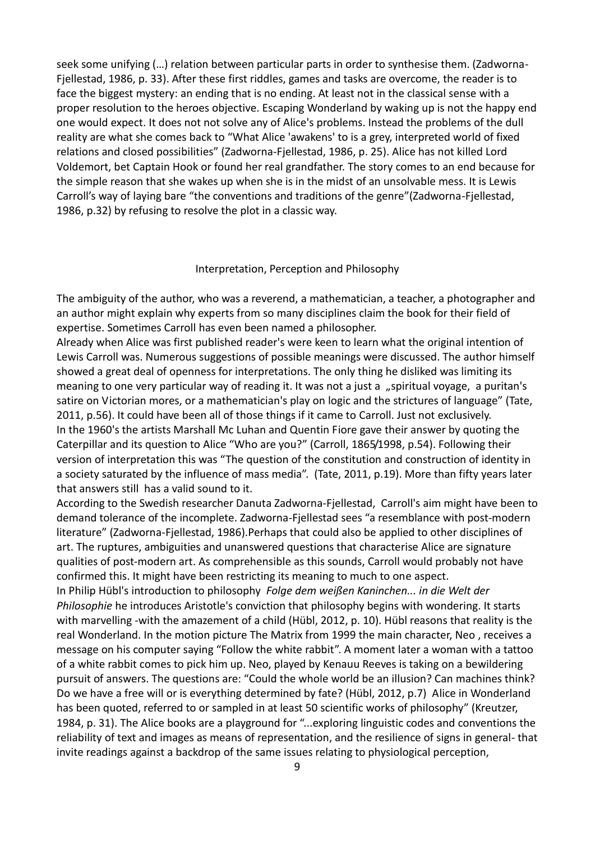seek some unifying (…) relation between particular parts in order to synthesise them. (Zadworna-Fjellestad, 1986, p. 33). After these first riddles, games and tasks are overcome, the reader is to face the biggest mystery: an ending that is no ending. At least not in the classical sense with a proper resolution to the heroes objective. Escaping Wonderland by waking up is not the happy end one would expect. It does not not solve any of Alice's problems. Instead the problems of the dull reality are what she comes back to "What Alice 'awakens' to is a grey, interpreted world of fixed relations and closed possibilities" (Zadworna-Fjellestad, 1986, p. 25). Alice has not killed Lord Voldemort, bet Captain Hook or found her real grandfather. The story comes to an end because for the simple reason that she wakes up when she is in the midst of an unsolvable mess. It is Lewis Carroll's way of laying bare "the conventions and traditions of the genre"(Zadworna-Fjellestad, 1986, p.32) by refusing to resolve the plot in a classic way.

#### Interpretation, Perception and Philosophy

The ambiguity of the author, who was a reverend, a mathematician, a teacher, a photographer and an author might explain why experts from so many disciplines claim the book for their field of expertise. Sometimes Carroll has even been named a philosopher.

Already when Alice was first published reader's were keen to learn what the original intention of Lewis Carroll was. Numerous suggestions of possible meanings were discussed. The author himself showed a great deal of openness for interpretations. The only thing he disliked was limiting its meaning to one very particular way of reading it. It was not a just a "spiritual voyage, a puritan's satire on Victorian mores, or a mathematician's play on logic and the strictures of language" (Tate, 2011, p.56). It could have been all of those things if it came to Carroll. Just not exclusively. In the 1960's the artists Marshall Mc Luhan and Quentin Fiore gave their answer by quoting the Caterpillar and its question to Alice "Who are you?" (Carroll, 1865/1998, p.54). Following their version of interpretation this was "The question of the constitution and construction of identity in a society saturated by the influence of mass media". (Tate, 2011, p.19). More than fifty years later that answers still has a valid sound to it.

According to the Swedish researcher Danuta Zadworna-Fjellestad, Carroll's aim might have been to demand tolerance of the incomplete. Zadworna-Fjellestad sees "a resemblance with post-modern literature" (Zadworna-Fjellestad, 1986).Perhaps that could also be applied to other disciplines of art. The ruptures, ambiguities and unanswered questions that characterise Alice are signature qualities of post-modern art. As comprehensible as this sounds, Carroll would probably not have confirmed this. It might have been restricting its meaning to much to one aspect.

In Philip Hübl's introduction to philosophy *Folge dem weißen Kaninchen... in die Welt der Philosophie* he introduces Aristotle's conviction that philosophy begins with wondering. It starts with marvelling -with the amazement of a child (Hübl, 2012, p. 10). Hübl reasons that reality is the real Wonderland. In the motion picture The Matrix from 1999 the main character, Neo , receives a message on his computer saying "Follow the white rabbit". A moment later a woman with a tattoo of a white rabbit comes to pick him up. Neo, played by Kenauu Reeves is taking on a bewildering pursuit of answers. The questions are: "Could the whole world be an illusion? Can machines think? Do we have a free will or is everything determined by fate? (Hübl, 2012, p.7) Alice in Wonderland has been quoted, referred to or sampled in at least 50 scientific works of philosophy" (Kreutzer, 1984, p. 31). The Alice books are a playground for "...exploring linguistic codes and conventions the reliability of text and images as means of representation, and the resilience of signs in general- that invite readings against a backdrop of the same issues relating to physiological perception,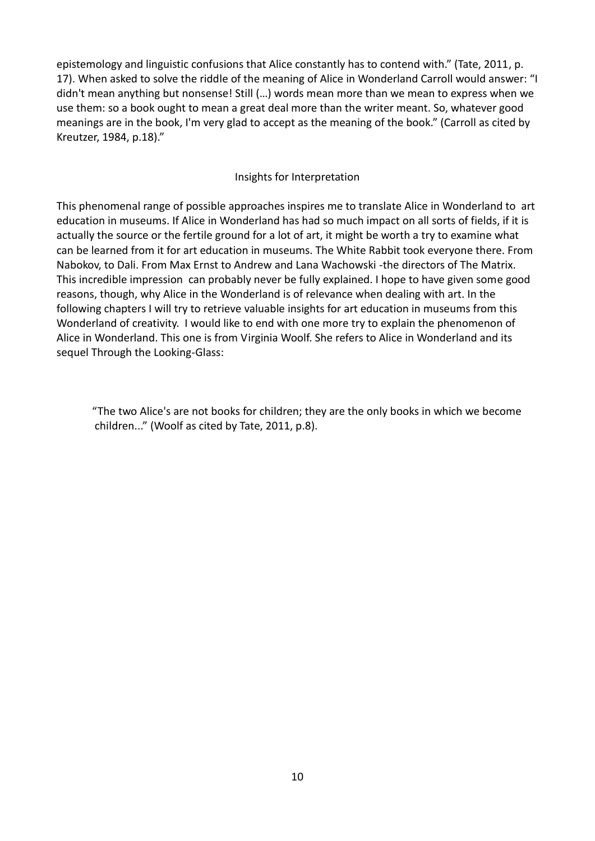epistemology and linguistic confusions that Alice constantly has to contend with." (Tate, 2011, p. 17). When asked to solve the riddle of the meaning of Alice in Wonderland Carroll would answer: "I didn't mean anything but nonsense! Still (…) words mean more than we mean to express when we use them: so a book ought to mean a great deal more than the writer meant. So, whatever good meanings are in the book, I'm very glad to accept as the meaning of the book." (Carroll as cited by Kreutzer, 1984, p.18)."

## Insights for Interpretation

This phenomenal range of possible approaches inspires me to translate Alice in Wonderland to art education in museums. If Alice in Wonderland has had so much impact on all sorts of fields, if it is actually the source or the fertile ground for a lot of art, it might be worth a try to examine what can be learned from it for art education in museums. The White Rabbit took everyone there. From Nabokov, to Dali. From Max Ernst to Andrew and Lana Wachowski -the directors of The Matrix. This incredible impression can probably never be fully explained. I hope to have given some good reasons, though, why Alice in the Wonderland is of relevance when dealing with art. In the following chapters I will try to retrieve valuable insights for art education in museums from this Wonderland of creativity. I would like to end with one more try to explain the phenomenon of Alice in Wonderland. This one is from Virginia Woolf. She refers to Alice in Wonderland and its sequel Through the Looking-Glass:

"The two Alice's are not books for children; they are the only books in which we become children..." (Woolf as cited by Tate, 2011, p.8).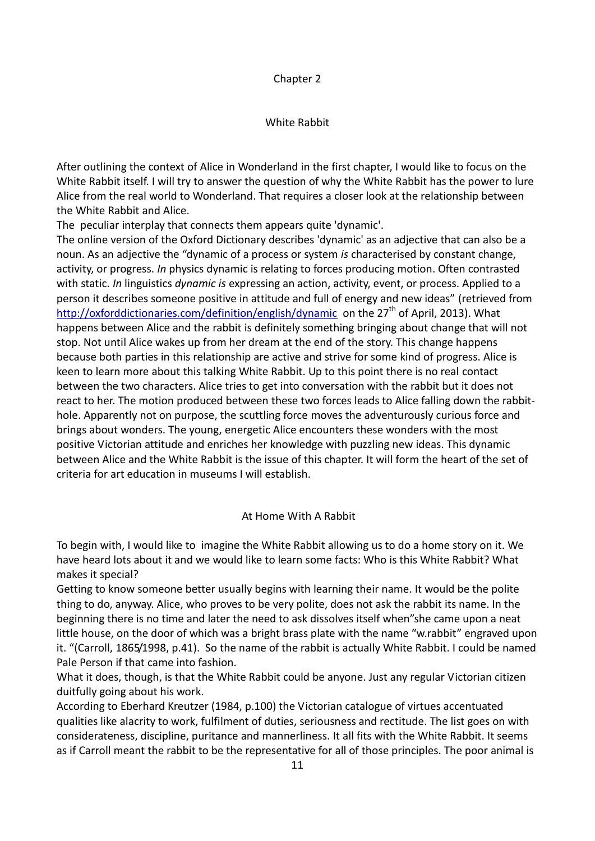## Chapter 2

## White Rabbit

After outlining the context of Alice in Wonderland in the first chapter, I would like to focus on the White Rabbit itself. I will try to answer the question of why the White Rabbit has the power to lure Alice from the real world to Wonderland. That requires a closer look at the relationship between the White Rabbit and Alice.

The peculiar interplay that connects them appears quite 'dynamic'.

The online version of the Oxford Dictionary describes 'dynamic' as an adjective that can also be a noun. As an adjective the "dynamic of a process or system *is* characterised by constant change, activity, or progress. *In* physics dynamic is relating to forces producing motion. Often contrasted with static. *In* linguistics *dynamic is* expressing an action, activity, event, or process. Applied to a person it describes someone positive in attitude and full of energy and new ideas" (retrieved from <http://oxforddictionaries.com/definition/english/dynamic>on the 27<sup>th</sup> of April, 2013). What happens between Alice and the rabbit is definitely something bringing about change that will not stop. Not until Alice wakes up from her dream at the end of the story. This change happens because both parties in this relationship are active and strive for some kind of progress. Alice is keen to learn more about this talking White Rabbit. Up to this point there is no real contact between the two characters. Alice tries to get into conversation with the rabbit but it does not react to her. The motion produced between these two forces leads to Alice falling down the rabbithole. Apparently not on purpose, the scuttling force moves the adventurously curious force and brings about wonders. The young, energetic Alice encounters these wonders with the most positive Victorian attitude and enriches her knowledge with puzzling new ideas. This dynamic between Alice and the White Rabbit is the issue of this chapter. It will form the heart of the set of criteria for art education in museums I will establish.

## At Home With A Rabbit

To begin with, I would like to imagine the White Rabbit allowing us to do a home story on it. We have heard lots about it and we would like to learn some facts: Who is this White Rabbit? What makes it special?

Getting to know someone better usually begins with learning their name. It would be the polite thing to do, anyway. Alice, who proves to be very polite, does not ask the rabbit its name. In the beginning there is no time and later the need to ask dissolves itself when"she came upon a neat little house, on the door of which was a bright brass plate with the name "w.rabbit" engraved upon it. "(Carroll, 1865/1998, p.41). So the name of the rabbit is actually White Rabbit. I could be named Pale Person if that came into fashion.

What it does, though, is that the White Rabbit could be anyone. Just any regular Victorian citizen duitfully going about his work.

According to Eberhard Kreutzer (1984, p.100) the Victorian catalogue of virtues accentuated qualities like alacrity to work, fulfilment of duties, seriousness and rectitude. The list goes on with considerateness, discipline, puritance and mannerliness. It all fits with the White Rabbit. It seems as if Carroll meant the rabbit to be the representative for all of those principles. The poor animal is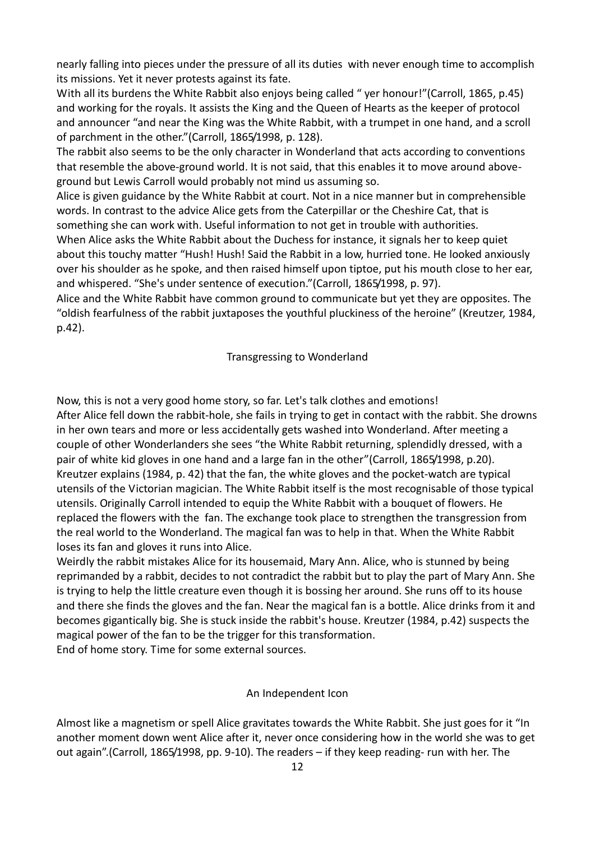nearly falling into pieces under the pressure of all its duties with never enough time to accomplish its missions. Yet it never protests against its fate.

With all its burdens the White Rabbit also enjoys being called " yer honour!"(Carroll, 1865, p.45) and working for the royals. It assists the King and the Queen of Hearts as the keeper of protocol and announcer "and near the King was the White Rabbit, with a trumpet in one hand, and a scroll of parchment in the other."(Carroll, 1865/1998, p. 128).

The rabbit also seems to be the only character in Wonderland that acts according to conventions that resemble the above-ground world. It is not said, that this enables it to move around aboveground but Lewis Carroll would probably not mind us assuming so.

Alice is given guidance by the White Rabbit at court. Not in a nice manner but in comprehensible words. In contrast to the advice Alice gets from the Caterpillar or the Cheshire Cat, that is something she can work with. Useful information to not get in trouble with authorities.

When Alice asks the White Rabbit about the Duchess for instance, it signals her to keep quiet about this touchy matter "Hush! Hush! Said the Rabbit in a low, hurried tone. He looked anxiously over his shoulder as he spoke, and then raised himself upon tiptoe, put his mouth close to her ear, and whispered. "She's under sentence of execution."(Carroll, 1865/1998, p. 97).

Alice and the White Rabbit have common ground to communicate but yet they are opposites. The "oldish fearfulness of the rabbit juxtaposes the youthful pluckiness of the heroine" (Kreutzer, 1984, p.42).

Transgressing to Wonderland

Now, this is not a very good home story, so far. Let's talk clothes and emotions!

After Alice fell down the rabbit-hole, she fails in trying to get in contact with the rabbit. She drowns in her own tears and more or less accidentally gets washed into Wonderland. After meeting a couple of other Wonderlanders she sees "the White Rabbit returning, splendidly dressed, with a pair of white kid gloves in one hand and a large fan in the other"(Carroll, 1865/1998, p.20). Kreutzer explains (1984, p. 42) that the fan, the white gloves and the pocket-watch are typical utensils of the Victorian magician. The White Rabbit itself is the most recognisable of those typical utensils. Originally Carroll intended to equip the White Rabbit with a bouquet of flowers. He replaced the flowers with the fan. The exchange took place to strengthen the transgression from the real world to the Wonderland. The magical fan was to help in that. When the White Rabbit loses its fan and gloves it runs into Alice.

Weirdly the rabbit mistakes Alice for its housemaid, Mary Ann. Alice, who is stunned by being reprimanded by a rabbit, decides to not contradict the rabbit but to play the part of Mary Ann. She is trying to help the little creature even though it is bossing her around. She runs off to its house and there she finds the gloves and the fan. Near the magical fan is a bottle. Alice drinks from it and becomes gigantically big. She is stuck inside the rabbit's house. Kreutzer (1984, p.42) suspects the magical power of the fan to be the trigger for this transformation. End of home story. Time for some external sources.

#### An Independent Icon

Almost like a magnetism or spell Alice gravitates towards the White Rabbit. She just goes for it "In another moment down went Alice after it, never once considering how in the world she was to get out again".(Carroll, 1865/1998, pp. 9-10). The readers – if they keep reading- run with her. The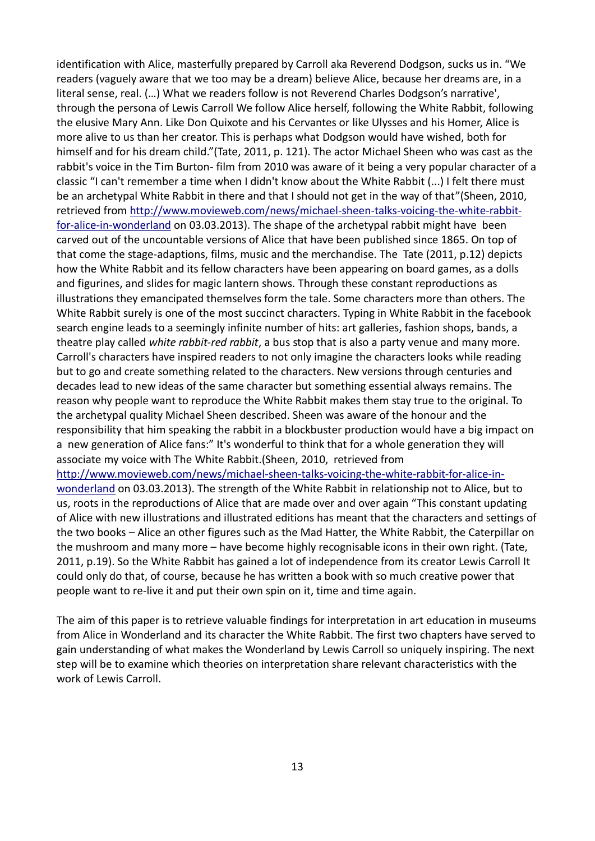identification with Alice, masterfully prepared by Carroll aka Reverend Dodgson, sucks us in. "We readers (vaguely aware that we too may be a dream) believe Alice, because her dreams are, in a literal sense, real. (…) What we readers follow is not Reverend Charles Dodgson's narrative', through the persona of Lewis Carroll We follow Alice herself, following the White Rabbit, following the elusive Mary Ann. Like Don Quixote and his Cervantes or like Ulysses and his Homer, Alice is more alive to us than her creator. This is perhaps what Dodgson would have wished, both for himself and for his dream child."(Tate, 2011, p. 121). The actor Michael Sheen who was cast as the rabbit's voice in the Tim Burton- film from 2010 was aware of it being a very popular character of a classic "I can't remember a time when I didn't know about the White Rabbit (...) I felt there must be an archetypal White Rabbit in there and that I should not get in the way of that"(Sheen, 2010, retrieved from [http://www.movieweb.com/news/michael-sheen-talks-voicing-the-white-rabbit](http://www.movieweb.com/news/michael-sheen-talks-voicing-the-white-rabbit-for-alice-in-wonderland)[for-alice-in-wonderland](http://www.movieweb.com/news/michael-sheen-talks-voicing-the-white-rabbit-for-alice-in-wonderland) on 03.03.2013). The shape of the archetypal rabbit might have been carved out of the uncountable versions of Alice that have been published since 1865. On top of that come the stage-adaptions, films, music and the merchandise. The Tate (2011, p.12) depicts how the White Rabbit and its fellow characters have been appearing on board games, as a dolls and figurines, and slides for magic lantern shows. Through these constant reproductions as illustrations they emancipated themselves form the tale. Some characters more than others. The White Rabbit surely is one of the most succinct characters. Typing in White Rabbit in the facebook search engine leads to a seemingly infinite number of hits: art galleries, fashion shops, bands, a theatre play called *white rabbit-red rabbit*, a bus stop that is also a party venue and many more. Carroll's characters have inspired readers to not only imagine the characters looks while reading but to go and create something related to the characters. New versions through centuries and decades lead to new ideas of the same character but something essential always remains. The reason why people want to reproduce the White Rabbit makes them stay true to the original. To the archetypal quality Michael Sheen described. Sheen was aware of the honour and the responsibility that him speaking the rabbit in a blockbuster production would have a big impact on a new generation of Alice fans:" It's wonderful to think that for a whole generation they will associate my voice with The White Rabbit.(Sheen, 2010, retrieved from [http://www.movieweb.com/news/michael-sheen-talks-voicing-the-white-rabbit-for-alice-in](http://www.movieweb.com/news/michael-sheen-talks-voicing-the-white-rabbit-for-alice-in-wonderland)[wonderland](http://www.movieweb.com/news/michael-sheen-talks-voicing-the-white-rabbit-for-alice-in-wonderland) on 03.03.2013). The strength of the White Rabbit in relationship not to Alice, but to us, roots in the reproductions of Alice that are made over and over again "This constant updating of Alice with new illustrations and illustrated editions has meant that the characters and settings of the two books – Alice an other figures such as the Mad Hatter, the White Rabbit, the Caterpillar on the mushroom and many more – have become highly recognisable icons in their own right. (Tate, 2011, p.19). So the White Rabbit has gained a lot of independence from its creator Lewis Carroll It could only do that, of course, because he has written a book with so much creative power that people want to re-live it and put their own spin on it, time and time again.

The aim of this paper is to retrieve valuable findings for interpretation in art education in museums from Alice in Wonderland and its character the White Rabbit. The first two chapters have served to gain understanding of what makes the Wonderland by Lewis Carroll so uniquely inspiring. The next step will be to examine which theories on interpretation share relevant characteristics with the work of Lewis Carroll.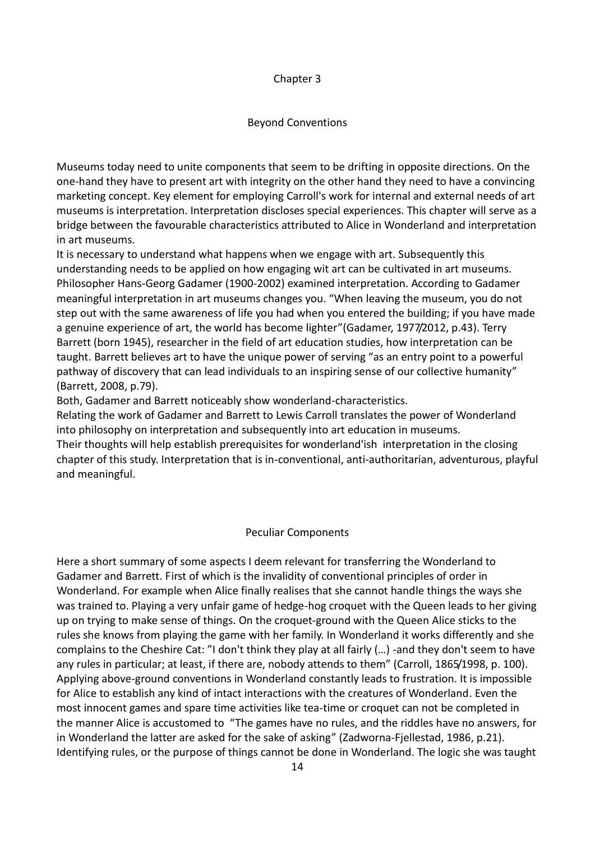## Chapter 3

## Beyond Conventions

Museums today need to unite components that seem to be drifting in opposite directions. On the one-hand they have to present art with integrity on the other hand they need to have a convincing marketing concept. Key element for employing Carroll's work for internal and external needs of art museums is interpretation. Interpretation discloses special experiences. This chapter will serve as a bridge between the favourable characteristics attributed to Alice in Wonderland and interpretation in art museums.

It is necessary to understand what happens when we engage with art. Subsequently this understanding needs to be applied on how engaging wit art can be cultivated in art museums. Philosopher Hans-Georg Gadamer (1900-2002) examined interpretation. According to Gadamer meaningful interpretation in art museums changes you. "When leaving the museum, you do not step out with the same awareness of life you had when you entered the building; if you have made a genuine experience of art, the world has become lighter"(Gadamer, 1977/2012, p.43). Terry Barrett (born 1945), researcher in the field of art education studies, how interpretation can be taught. Barrett believes art to have the unique power of serving "as an entry point to a powerful pathway of discovery that can lead individuals to an inspiring sense of our collective humanity" (Barrett, 2008, p.79).

Both, Gadamer and Barrett noticeably show wonderland-characteristics.

Relating the work of Gadamer and Barrett to Lewis Carroll translates the power of Wonderland into philosophy on interpretation and subsequently into art education in museums. Their thoughts will help establish prerequisites for wonderland'ish interpretation in the closing chapter of this study. Interpretation that is in-conventional, anti-authoritarian, adventurous, playful and meaningful.

#### Peculiar Components

Here a short summary of some aspects I deem relevant for transferring the Wonderland to Gadamer and Barrett. First of which is the invalidity of conventional principles of order in Wonderland. For example when Alice finally realises that she cannot handle things the ways she was trained to. Playing a very unfair game of hedge-hog croquet with the Queen leads to her giving up on trying to make sense of things. On the croquet-ground with the Queen Alice sticks to the rules she knows from playing the game with her family. In Wonderland it works differently and she complains to the Cheshire Cat: "I don't think they play at all fairly (…) -and they don't seem to have any rules in particular; at least, if there are, nobody attends to them" (Carroll, 1865/1998, p. 100). Applying above-ground conventions in Wonderland constantly leads to frustration. It is impossible for Alice to establish any kind of intact interactions with the creatures of Wonderland. Even the most innocent games and spare time activities like tea-time or croquet can not be completed in the manner Alice is accustomed to "The games have no rules, and the riddles have no answers, for in Wonderland the latter are asked for the sake of asking" (Zadworna-Fjellestad, 1986, p.21). Identifying rules, or the purpose of things cannot be done in Wonderland. The logic she was taught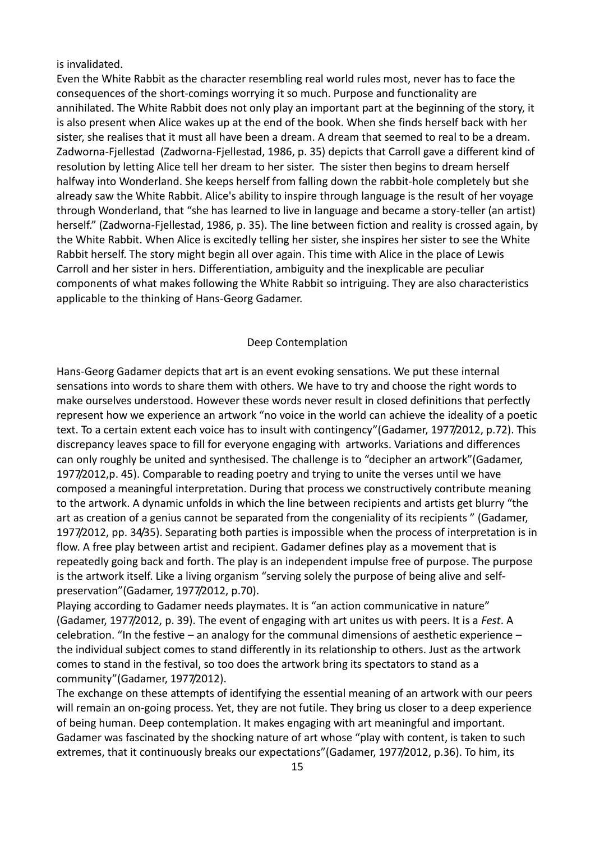is invalidated.

Even the White Rabbit as the character resembling real world rules most, never has to face the consequences of the short-comings worrying it so much. Purpose and functionality are annihilated. The White Rabbit does not only play an important part at the beginning of the story, it is also present when Alice wakes up at the end of the book. When she finds herself back with her sister, she realises that it must all have been a dream. A dream that seemed to real to be a dream. Zadworna-Fjellestad (Zadworna-Fjellestad, 1986, p. 35) depicts that Carroll gave a different kind of resolution by letting Alice tell her dream to her sister. The sister then begins to dream herself halfway into Wonderland. She keeps herself from falling down the rabbit-hole completely but she already saw the White Rabbit. Alice's ability to inspire through language is the result of her voyage through Wonderland, that "she has learned to live in language and became a story-teller (an artist) herself." (Zadworna-Fjellestad, 1986, p. 35). The line between fiction and reality is crossed again, by the White Rabbit. When Alice is excitedly telling her sister, she inspires her sister to see the White Rabbit herself. The story might begin all over again. This time with Alice in the place of Lewis Carroll and her sister in hers. Differentiation, ambiguity and the inexplicable are peculiar components of what makes following the White Rabbit so intriguing. They are also characteristics applicable to the thinking of Hans-Georg Gadamer.

#### Deep Contemplation

Hans-Georg Gadamer depicts that art is an event evoking sensations. We put these internal sensations into words to share them with others. We have to try and choose the right words to make ourselves understood. However these words never result in closed definitions that perfectly represent how we experience an artwork "no voice in the world can achieve the ideality of a poetic text. To a certain extent each voice has to insult with contingency"(Gadamer, 1977/2012, p.72). This discrepancy leaves space to fill for everyone engaging with artworks. Variations and differences can only roughly be united and synthesised. The challenge is to "decipher an artwork"(Gadamer, 1977/2012,p. 45). Comparable to reading poetry and trying to unite the verses until we have composed a meaningful interpretation. During that process we constructively contribute meaning to the artwork. A dynamic unfolds in which the line between recipients and artists get blurry "the art as creation of a genius cannot be separated from the congeniality of its recipients " (Gadamer, 1977/2012, pp. 34/35). Separating both parties is impossible when the process of interpretation is in flow. A free play between artist and recipient. Gadamer defines play as a movement that is repeatedly going back and forth. The play is an independent impulse free of purpose. The purpose is the artwork itself. Like a living organism "serving solely the purpose of being alive and selfpreservation"(Gadamer, 1977/2012, p.70).

Playing according to Gadamer needs playmates. It is "an action communicative in nature" (Gadamer, 1977/2012, p. 39). The event of engaging with art unites us with peers. It is a *Fest*. A celebration. "In the festive – an analogy for the communal dimensions of aesthetic experience – the individual subject comes to stand differently in its relationship to others. Just as the artwork comes to stand in the festival, so too does the artwork bring its spectators to stand as a community"(Gadamer, 1977/2012).

The exchange on these attempts of identifying the essential meaning of an artwork with our peers will remain an on-going process. Yet, they are not futile. They bring us closer to a deep experience of being human. Deep contemplation. It makes engaging with art meaningful and important. Gadamer was fascinated by the shocking nature of art whose "play with content, is taken to such extremes, that it continuously breaks our expectations"(Gadamer, 1977/2012, p.36). To him, its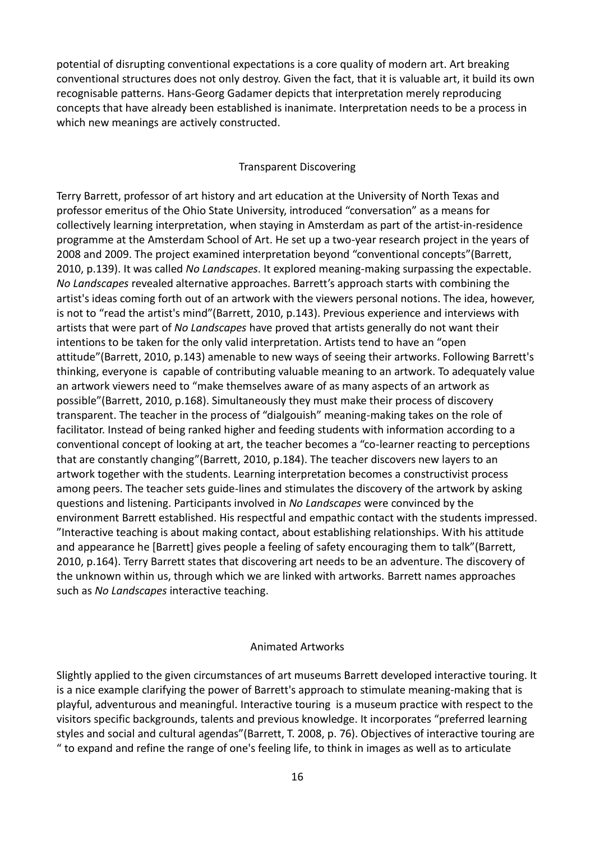potential of disrupting conventional expectations is a core quality of modern art. Art breaking conventional structures does not only destroy. Given the fact, that it is valuable art, it build its own recognisable patterns. Hans-Georg Gadamer depicts that interpretation merely reproducing concepts that have already been established is inanimate. Interpretation needs to be a process in which new meanings are actively constructed.

#### Transparent Discovering

Terry Barrett, professor of art history and art education at the University of North Texas and professor emeritus of the Ohio State University, introduced "conversation" as a means for collectively learning interpretation, when staying in Amsterdam as part of the artist-in-residence programme at the Amsterdam School of Art. He set up a two-year research project in the years of 2008 and 2009. The project examined interpretation beyond "conventional concepts"(Barrett, 2010, p.139). It was called *No Landscapes*. It explored meaning-making surpassing the expectable. *No Landscapes* revealed alternative approaches. Barrett's approach starts with combining the artist's ideas coming forth out of an artwork with the viewers personal notions. The idea, however, is not to "read the artist's mind"(Barrett, 2010, p.143). Previous experience and interviews with artists that were part of *No Landscapes* have proved that artists generally do not want their intentions to be taken for the only valid interpretation. Artists tend to have an "open attitude"(Barrett, 2010, p.143) amenable to new ways of seeing their artworks. Following Barrett's thinking, everyone is capable of contributing valuable meaning to an artwork. To adequately value an artwork viewers need to "make themselves aware of as many aspects of an artwork as possible"(Barrett, 2010, p.168). Simultaneously they must make their process of discovery transparent. The teacher in the process of "dialgouish" meaning-making takes on the role of facilitator. Instead of being ranked higher and feeding students with information according to a conventional concept of looking at art, the teacher becomes a "co-learner reacting to perceptions that are constantly changing"(Barrett, 2010, p.184). The teacher discovers new layers to an artwork together with the students. Learning interpretation becomes a constructivist process among peers. The teacher sets guide-lines and stimulates the discovery of the artwork by asking questions and listening. Participants involved in *No Landscapes* were convinced by the environment Barrett established. His respectful and empathic contact with the students impressed. "Interactive teaching is about making contact, about establishing relationships. With his attitude and appearance he [Barrett] gives people a feeling of safety encouraging them to talk"(Barrett, 2010, p.164). Terry Barrett states that discovering art needs to be an adventure. The discovery of the unknown within us, through which we are linked with artworks. Barrett names approaches such as *No Landscapes* interactive teaching.

#### Animated Artworks

Slightly applied to the given circumstances of art museums Barrett developed interactive touring. It is a nice example clarifying the power of Barrett's approach to stimulate meaning-making that is playful, adventurous and meaningful. Interactive touring is a museum practice with respect to the visitors specific backgrounds, talents and previous knowledge. It incorporates "preferred learning styles and social and cultural agendas"(Barrett, T. 2008, p. 76). Objectives of interactive touring are " to expand and refine the range of one's feeling life, to think in images as well as to articulate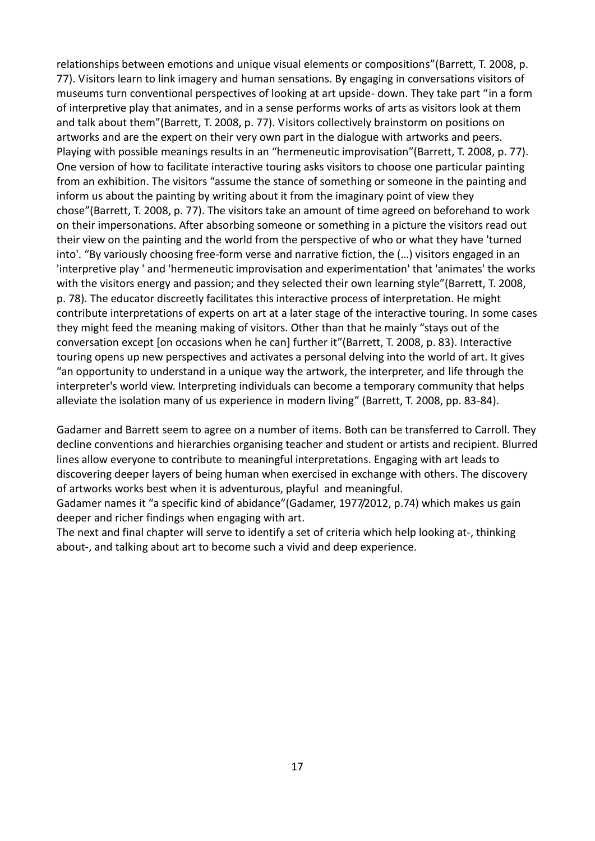relationships between emotions and unique visual elements or compositions"(Barrett, T. 2008, p. 77). Visitors learn to link imagery and human sensations. By engaging in conversations visitors of museums turn conventional perspectives of looking at art upside- down. They take part "in a form of interpretive play that animates, and in a sense performs works of arts as visitors look at them and talk about them"(Barrett, T. 2008, p. 77). Visitors collectively brainstorm on positions on artworks and are the expert on their very own part in the dialogue with artworks and peers. Playing with possible meanings results in an "hermeneutic improvisation"(Barrett, T. 2008, p. 77). One version of how to facilitate interactive touring asks visitors to choose one particular painting from an exhibition. The visitors "assume the stance of something or someone in the painting and inform us about the painting by writing about it from the imaginary point of view they chose"(Barrett, T. 2008, p. 77). The visitors take an amount of time agreed on beforehand to work on their impersonations. After absorbing someone or something in a picture the visitors read out their view on the painting and the world from the perspective of who or what they have 'turned into'. "By variously choosing free-form verse and narrative fiction, the (…) visitors engaged in an 'interpretive play ' and 'hermeneutic improvisation and experimentation' that 'animates' the works with the visitors energy and passion; and they selected their own learning style"(Barrett, T. 2008, p. 78). The educator discreetly facilitates this interactive process of interpretation. He might contribute interpretations of experts on art at a later stage of the interactive touring. In some cases they might feed the meaning making of visitors. Other than that he mainly "stays out of the conversation except [on occasions when he can] further it"(Barrett, T. 2008, p. 83). Interactive touring opens up new perspectives and activates a personal delving into the world of art. It gives "an opportunity to understand in a unique way the artwork, the interpreter, and life through the interpreter's world view. Interpreting individuals can become a temporary community that helps alleviate the isolation many of us experience in modern living" (Barrett, T. 2008, pp. 83-84).

Gadamer and Barrett seem to agree on a number of items. Both can be transferred to Carroll. They decline conventions and hierarchies organising teacher and student or artists and recipient. Blurred lines allow everyone to contribute to meaningful interpretations. Engaging with art leads to discovering deeper layers of being human when exercised in exchange with others. The discovery of artworks works best when it is adventurous, playful and meaningful.

Gadamer names it "a specific kind of abidance"(Gadamer, 1977/2012, p.74) which makes us gain deeper and richer findings when engaging with art.

The next and final chapter will serve to identify a set of criteria which help looking at-, thinking about-, and talking about art to become such a vivid and deep experience.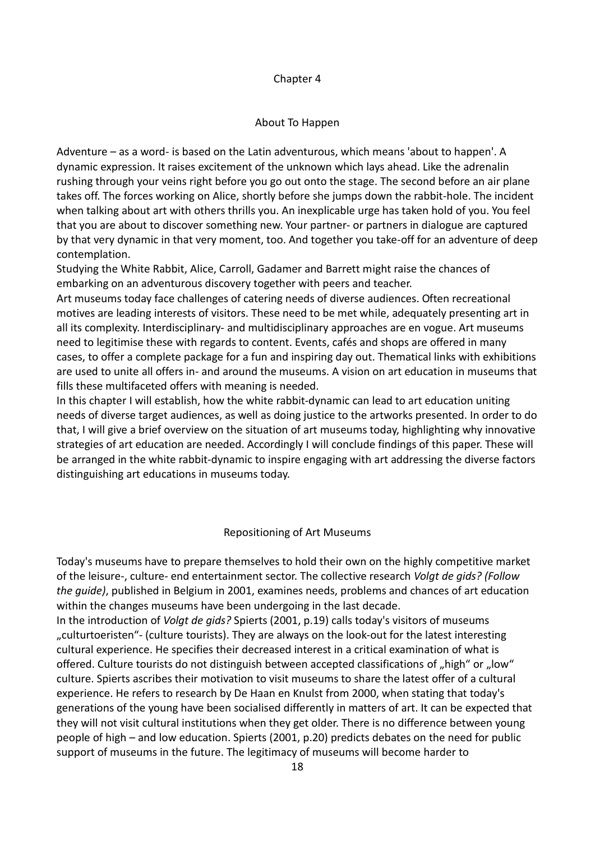## Chapter 4

### About To Happen

Adventure – as a word- is based on the Latin adventurous, which means 'about to happen'. A dynamic expression. It raises excitement of the unknown which lays ahead. Like the adrenalin rushing through your veins right before you go out onto the stage. The second before an air plane takes off. The forces working on Alice, shortly before she jumps down the rabbit-hole. The incident when talking about art with others thrills you. An inexplicable urge has taken hold of you. You feel that you are about to discover something new. Your partner- or partners in dialogue are captured by that very dynamic in that very moment, too. And together you take-off for an adventure of deep contemplation.

Studying the White Rabbit, Alice, Carroll, Gadamer and Barrett might raise the chances of embarking on an adventurous discovery together with peers and teacher.

Art museums today face challenges of catering needs of diverse audiences. Often recreational motives are leading interests of visitors. These need to be met while, adequately presenting art in all its complexity. Interdisciplinary- and multidisciplinary approaches are en vogue. Art museums need to legitimise these with regards to content. Events, cafés and shops are offered in many cases, to offer a complete package for a fun and inspiring day out. Thematical links with exhibitions are used to unite all offers in- and around the museums. A vision on art education in museums that fills these multifaceted offers with meaning is needed.

In this chapter I will establish, how the white rabbit-dynamic can lead to art education uniting needs of diverse target audiences, as well as doing justice to the artworks presented. In order to do that, I will give a brief overview on the situation of art museums today, highlighting why innovative strategies of art education are needed. Accordingly I will conclude findings of this paper. These will be arranged in the white rabbit-dynamic to inspire engaging with art addressing the diverse factors distinguishing art educations in museums today.

#### Repositioning of Art Museums

Today's museums have to prepare themselves to hold their own on the highly competitive market of the leisure-, culture- end entertainment sector. The collective research *Volgt de gids? (Follow the guide)*, published in Belgium in 2001, examines needs, problems and chances of art education within the changes museums have been undergoing in the last decade.

In the introduction of *Volgt de gids?* Spierts (2001, p.19) calls today's visitors of museums "culturtoeristen"- (culture tourists). They are always on the look-out for the latest interesting cultural experience. He specifies their decreased interest in a critical examination of what is offered. Culture tourists do not distinguish between accepted classifications of "high" or "low" culture. Spierts ascribes their motivation to visit museums to share the latest offer of a cultural experience. He refers to research by De Haan en Knulst from 2000, when stating that today's generations of the young have been socialised differently in matters of art. It can be expected that they will not visit cultural institutions when they get older. There is no difference between young people of high – and low education. Spierts (2001, p.20) predicts debates on the need for public support of museums in the future. The legitimacy of museums will become harder to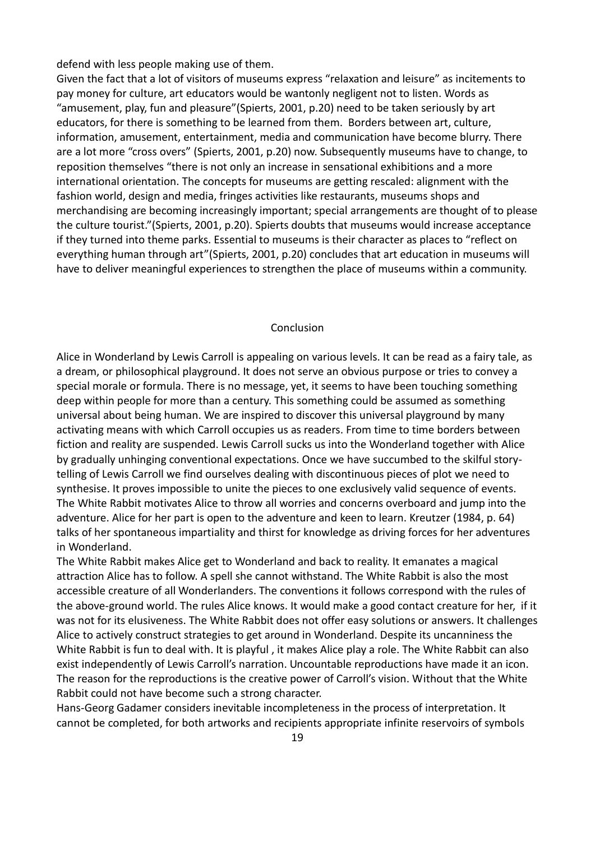defend with less people making use of them.

Given the fact that a lot of visitors of museums express "relaxation and leisure" as incitements to pay money for culture, art educators would be wantonly negligent not to listen. Words as "amusement, play, fun and pleasure"(Spierts, 2001, p.20) need to be taken seriously by art educators, for there is something to be learned from them. Borders between art, culture, information, amusement, entertainment, media and communication have become blurry. There are a lot more "cross overs" (Spierts, 2001, p.20) now. Subsequently museums have to change, to reposition themselves "there is not only an increase in sensational exhibitions and a more international orientation. The concepts for museums are getting rescaled: alignment with the fashion world, design and media, fringes activities like restaurants, museums shops and merchandising are becoming increasingly important; special arrangements are thought of to please the culture tourist."(Spierts, 2001, p.20). Spierts doubts that museums would increase acceptance if they turned into theme parks. Essential to museums is their character as places to "reflect on everything human through art"(Spierts, 2001, p.20) concludes that art education in museums will have to deliver meaningful experiences to strengthen the place of museums within a community.

#### Conclusion

Alice in Wonderland by Lewis Carroll is appealing on various levels. It can be read as a fairy tale, as a dream, or philosophical playground. It does not serve an obvious purpose or tries to convey a special morale or formula. There is no message, yet, it seems to have been touching something deep within people for more than a century. This something could be assumed as something universal about being human. We are inspired to discover this universal playground by many activating means with which Carroll occupies us as readers. From time to time borders between fiction and reality are suspended. Lewis Carroll sucks us into the Wonderland together with Alice by gradually unhinging conventional expectations. Once we have succumbed to the skilful storytelling of Lewis Carroll we find ourselves dealing with discontinuous pieces of plot we need to synthesise. It proves impossible to unite the pieces to one exclusively valid sequence of events. The White Rabbit motivates Alice to throw all worries and concerns overboard and jump into the adventure. Alice for her part is open to the adventure and keen to learn. Kreutzer (1984, p. 64) talks of her spontaneous impartiality and thirst for knowledge as driving forces for her adventures in Wonderland.

The White Rabbit makes Alice get to Wonderland and back to reality. It emanates a magical attraction Alice has to follow. A spell she cannot withstand. The White Rabbit is also the most accessible creature of all Wonderlanders. The conventions it follows correspond with the rules of the above-ground world. The rules Alice knows. It would make a good contact creature for her, if it was not for its elusiveness. The White Rabbit does not offer easy solutions or answers. It challenges Alice to actively construct strategies to get around in Wonderland. Despite its uncanniness the White Rabbit is fun to deal with. It is playful , it makes Alice play a role. The White Rabbit can also exist independently of Lewis Carroll's narration. Uncountable reproductions have made it an icon. The reason for the reproductions is the creative power of Carroll's vision. Without that the White Rabbit could not have become such a strong character.

Hans-Georg Gadamer considers inevitable incompleteness in the process of interpretation. It cannot be completed, for both artworks and recipients appropriate infinite reservoirs of symbols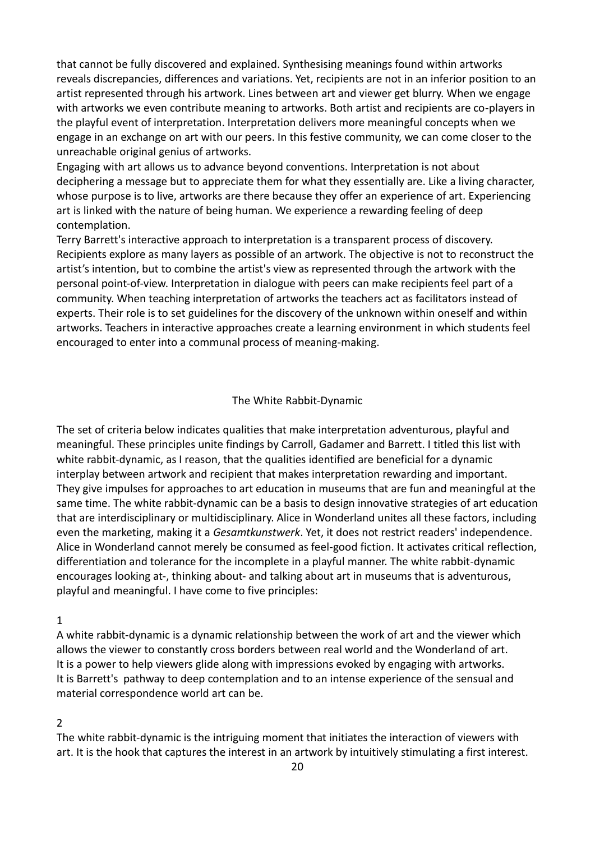that cannot be fully discovered and explained. Synthesising meanings found within artworks reveals discrepancies, differences and variations. Yet, recipients are not in an inferior position to an artist represented through his artwork. Lines between art and viewer get blurry. When we engage with artworks we even contribute meaning to artworks. Both artist and recipients are co-players in the playful event of interpretation. Interpretation delivers more meaningful concepts when we engage in an exchange on art with our peers. In this festive community, we can come closer to the unreachable original genius of artworks.

Engaging with art allows us to advance beyond conventions. Interpretation is not about deciphering a message but to appreciate them for what they essentially are. Like a living character, whose purpose is to live, artworks are there because they offer an experience of art. Experiencing art is linked with the nature of being human. We experience a rewarding feeling of deep contemplation.

Terry Barrett's interactive approach to interpretation is a transparent process of discovery. Recipients explore as many layers as possible of an artwork. The objective is not to reconstruct the artist's intention, but to combine the artist's view as represented through the artwork with the personal point-of-view. Interpretation in dialogue with peers can make recipients feel part of a community. When teaching interpretation of artworks the teachers act as facilitators instead of experts. Their role is to set guidelines for the discovery of the unknown within oneself and within artworks. Teachers in interactive approaches create a learning environment in which students feel encouraged to enter into a communal process of meaning-making.

#### The White Rabbit-Dynamic

The set of criteria below indicates qualities that make interpretation adventurous, playful and meaningful. These principles unite findings by Carroll, Gadamer and Barrett. I titled this list with white rabbit-dynamic, as I reason, that the qualities identified are beneficial for a dynamic interplay between artwork and recipient that makes interpretation rewarding and important. They give impulses for approaches to art education in museums that are fun and meaningful at the same time. The white rabbit-dynamic can be a basis to design innovative strategies of art education that are interdisciplinary or multidisciplinary. Alice in Wonderland unites all these factors, including even the marketing, making it a *Gesamtkunstwerk*. Yet, it does not restrict readers' independence. Alice in Wonderland cannot merely be consumed as feel-good fiction. It activates critical reflection, differentiation and tolerance for the incomplete in a playful manner. The white rabbit-dynamic encourages looking at-, thinking about- and talking about art in museums that is adventurous, playful and meaningful. I have come to five principles:

#### 1

A white rabbit-dynamic is a dynamic relationship between the work of art and the viewer which allows the viewer to constantly cross borders between real world and the Wonderland of art. It is a power to help viewers glide along with impressions evoked by engaging with artworks. It is Barrett's pathway to deep contemplation and to an intense experience of the sensual and material correspondence world art can be.

## 2

The white rabbit-dynamic is the intriguing moment that initiates the interaction of viewers with art. It is the hook that captures the interest in an artwork by intuitively stimulating a first interest.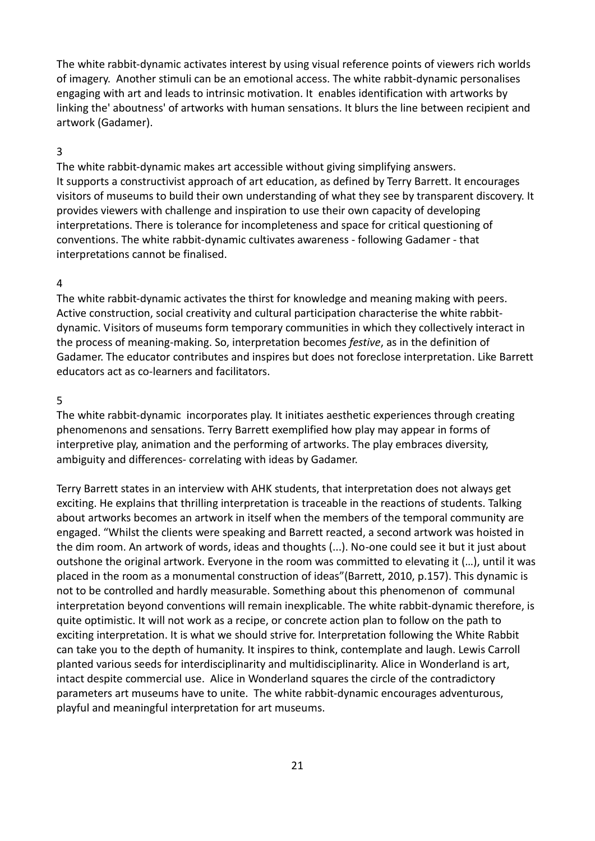The white rabbit-dynamic activates interest by using visual reference points of viewers rich worlds of imagery. Another stimuli can be an emotional access. The white rabbit-dynamic personalises engaging with art and leads to intrinsic motivation. It enables identification with artworks by linking the' aboutness' of artworks with human sensations. It blurs the line between recipient and artwork (Gadamer).

#### 3

The white rabbit-dynamic makes art accessible without giving simplifying answers. It supports a constructivist approach of art education, as defined by Terry Barrett. It encourages visitors of museums to build their own understanding of what they see by transparent discovery. It provides viewers with challenge and inspiration to use their own capacity of developing interpretations. There is tolerance for incompleteness and space for critical questioning of conventions. The white rabbit-dynamic cultivates awareness - following Gadamer - that interpretations cannot be finalised.

## 4

The white rabbit-dynamic activates the thirst for knowledge and meaning making with peers. Active construction, social creativity and cultural participation characterise the white rabbitdynamic. Visitors of museums form temporary communities in which they collectively interact in the process of meaning-making. So, interpretation becomes *festive*, as in the definition of Gadamer. The educator contributes and inspires but does not foreclose interpretation. Like Barrett educators act as co-learners and facilitators.

#### 5

The white rabbit-dynamic incorporates play. It initiates aesthetic experiences through creating phenomenons and sensations. Terry Barrett exemplified how play may appear in forms of interpretive play, animation and the performing of artworks. The play embraces diversity, ambiguity and differences- correlating with ideas by Gadamer.

Terry Barrett states in an interview with AHK students, that interpretation does not always get exciting. He explains that thrilling interpretation is traceable in the reactions of students. Talking about artworks becomes an artwork in itself when the members of the temporal community are engaged. "Whilst the clients were speaking and Barrett reacted, a second artwork was hoisted in the dim room. An artwork of words, ideas and thoughts (...). No-one could see it but it just about outshone the original artwork. Everyone in the room was committed to elevating it (…), until it was placed in the room as a monumental construction of ideas"(Barrett, 2010, p.157). This dynamic is not to be controlled and hardly measurable. Something about this phenomenon of communal interpretation beyond conventions will remain inexplicable. The white rabbit-dynamic therefore, is quite optimistic. It will not work as a recipe, or concrete action plan to follow on the path to exciting interpretation. It is what we should strive for. Interpretation following the White Rabbit can take you to the depth of humanity. It inspires to think, contemplate and laugh. Lewis Carroll planted various seeds for interdisciplinarity and multidisciplinarity. Alice in Wonderland is art, intact despite commercial use. Alice in Wonderland squares the circle of the contradictory parameters art museums have to unite. The white rabbit-dynamic encourages adventurous, playful and meaningful interpretation for art museums.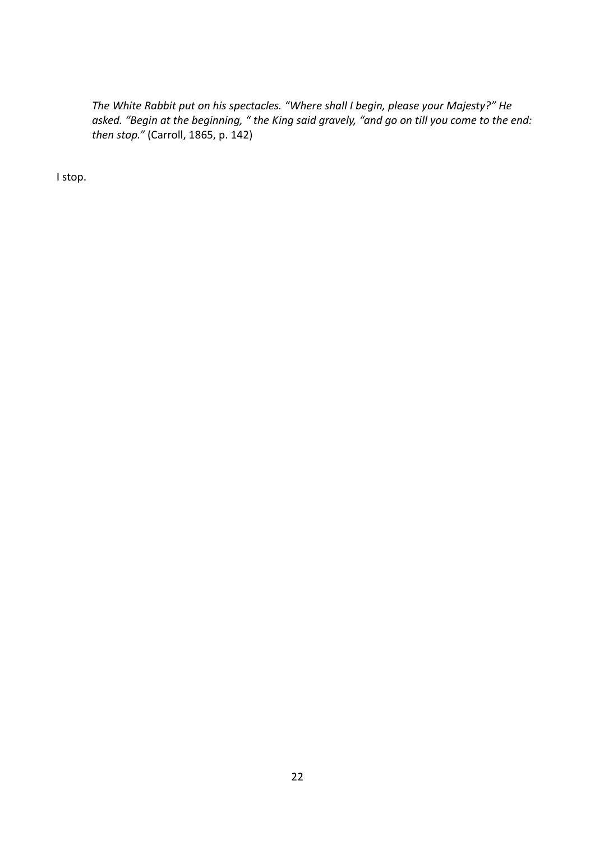*The White Rabbit put on his spectacles. "Where shall I begin, please your Majesty?" He asked. "Begin at the beginning, " the King said gravely, "and go on till you come to the end: then stop."* (Carroll, 1865, p. 142)

I stop.